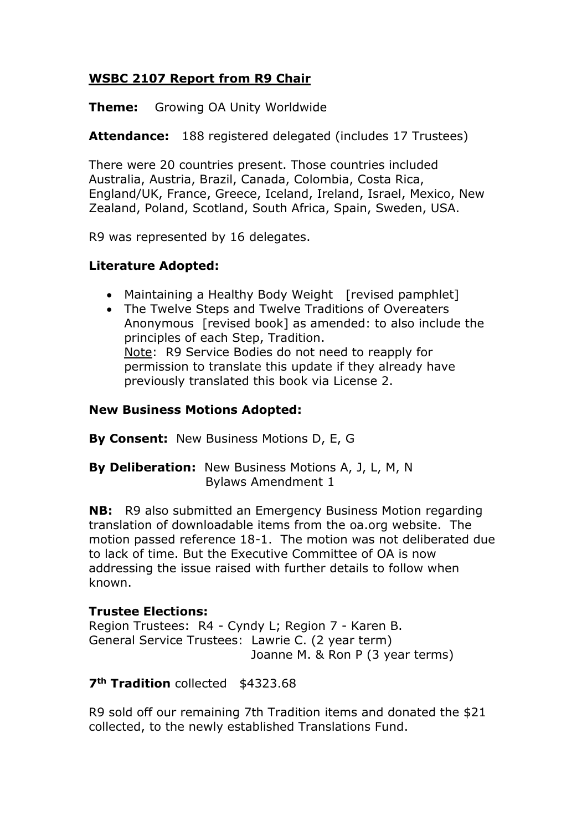## **WSBC 2107 Report from R9 Chair**

**Theme:** Growing OA Unity Worldwide

**Attendance:** 188 registered delegated (includes 17 Trustees)

There were 20 countries present. Those countries included Australia, Austria, Brazil, Canada, Colombia, Costa Rica, England/UK, France, Greece, Iceland, Ireland, Israel, Mexico, New Zealand, Poland, Scotland, South Africa, Spain, Sweden, USA.

R9 was represented by 16 delegates.

### **Literature Adopted:**

- Maintaining a Healthy Body Weight [revised pamphlet]
- The Twelve Steps and Twelve Traditions of Overeaters Anonymous [revised book] as amended: to also include the principles of each Step, Tradition. Note: R9 Service Bodies do not need to reapply for permission to translate this update if they already have previously translated this book via License 2.

### **New Business Motions Adopted:**

**By Consent:** New Business Motions D, E, G

**By Deliberation:** New Business Motions A, J, L, M, N Bylaws Amendment 1

**NB:** R9 also submitted an Emergency Business Motion regarding translation of downloadable items from the oa.org website. The motion passed reference 18-1. The motion was not deliberated due to lack of time. But the Executive Committee of OA is now addressing the issue raised with further details to follow when known.

### **Trustee Elections:**

Region Trustees: R4 - Cyndy L; Region 7 - Karen B. General Service Trustees: Lawrie C. (2 year term) Joanne M. & Ron P (3 year terms)

### **7th Tradition** collected \$4323.68

R9 sold off our remaining 7th Tradition items and donated the \$21 collected, to the newly established Translations Fund.